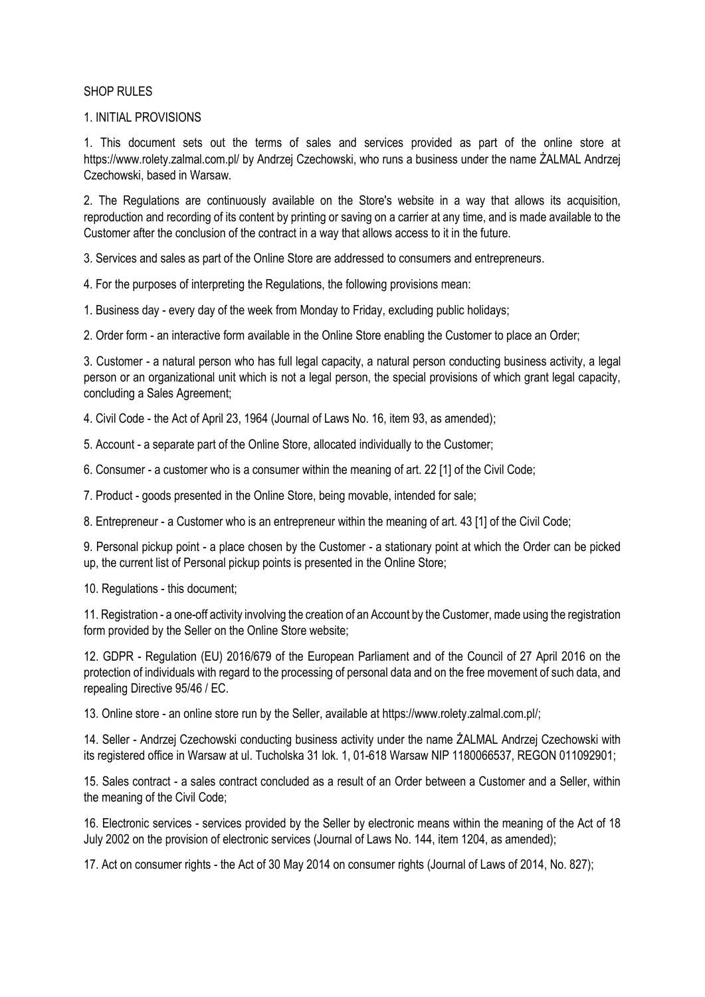### SHOP RULES

### 1. INITIAL PROVISIONS

1. This document sets out the terms of sales and services provided as part of the online store at https://www.rolety.zalmal.com.pl/ by Andrzej Czechowski, who runs a business under the name ŻALMAL Andrzej Czechowski, based in Warsaw.

2. The Regulations are continuously available on the Store's website in a way that allows its acquisition, reproduction and recording of its content by printing or saving on a carrier at any time, and is made available to the Customer after the conclusion of the contract in a way that allows access to it in the future.

3. Services and sales as part of the Online Store are addressed to consumers and entrepreneurs.

4. For the purposes of interpreting the Regulations, the following provisions mean:

1. Business day - every day of the week from Monday to Friday, excluding public holidays;

2. Order form - an interactive form available in the Online Store enabling the Customer to place an Order;

3. Customer - a natural person who has full legal capacity, a natural person conducting business activity, a legal person or an organizational unit which is not a legal person, the special provisions of which grant legal capacity, concluding a Sales Agreement;

4. Civil Code - the Act of April 23, 1964 (Journal of Laws No. 16, item 93, as amended);

5. Account - a separate part of the Online Store, allocated individually to the Customer;

6. Consumer - a customer who is a consumer within the meaning of art. 22 [1] of the Civil Code;

7. Product - goods presented in the Online Store, being movable, intended for sale;

8. Entrepreneur - a Customer who is an entrepreneur within the meaning of art. 43 [1] of the Civil Code;

9. Personal pickup point - a place chosen by the Customer - a stationary point at which the Order can be picked up, the current list of Personal pickup points is presented in the Online Store;

10. Regulations - this document;

11. Registration - a one-off activity involving the creation of an Account by the Customer, made using the registration form provided by the Seller on the Online Store website;

12. GDPR - Regulation (EU) 2016/679 of the European Parliament and of the Council of 27 April 2016 on the protection of individuals with regard to the processing of personal data and on the free movement of such data, and repealing Directive 95/46 / EC.

13. Online store - an online store run by the Seller, available at https://www.rolety.zalmal.com.pl/;

14. Seller - Andrzej Czechowski conducting business activity under the name ŻALMAL Andrzej Czechowski with its registered office in Warsaw at ul. Tucholska 31 lok. 1, 01-618 Warsaw NIP 1180066537, REGON 011092901;

15. Sales contract - a sales contract concluded as a result of an Order between a Customer and a Seller, within the meaning of the Civil Code;

16. Electronic services - services provided by the Seller by electronic means within the meaning of the Act of 18 July 2002 on the provision of electronic services (Journal of Laws No. 144, item 1204, as amended);

17. Act on consumer rights - the Act of 30 May 2014 on consumer rights (Journal of Laws of 2014, No. 827);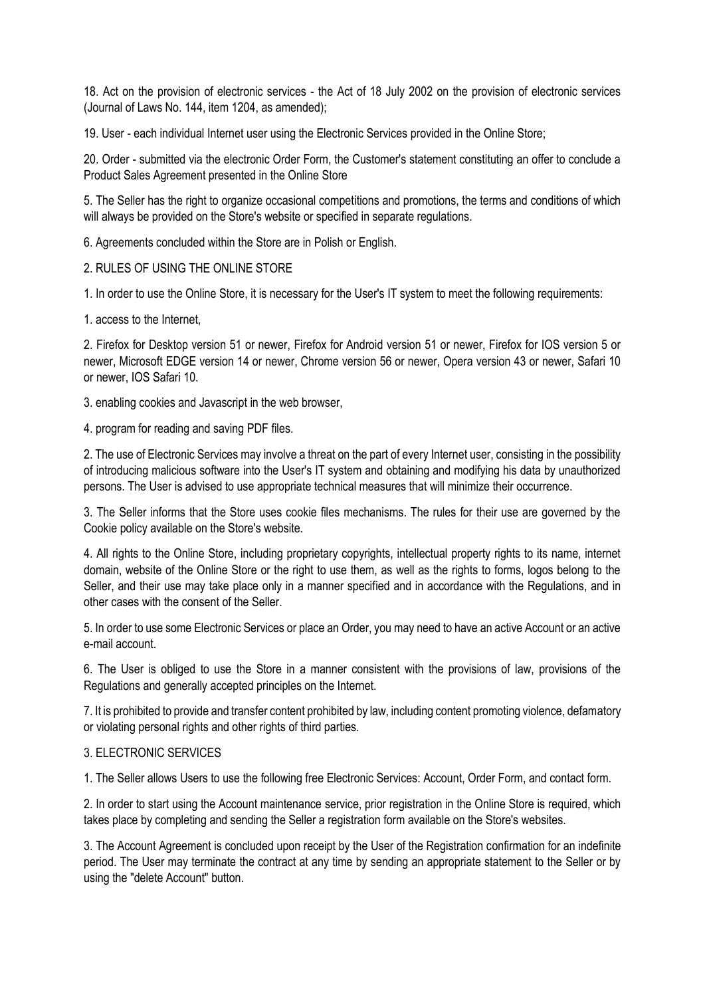18. Act on the provision of electronic services - the Act of 18 July 2002 on the provision of electronic services (Journal of Laws No. 144, item 1204, as amended);

19. User - each individual Internet user using the Electronic Services provided in the Online Store;

20. Order - submitted via the electronic Order Form, the Customer's statement constituting an offer to conclude a Product Sales Agreement presented in the Online Store

5. The Seller has the right to organize occasional competitions and promotions, the terms and conditions of which will always be provided on the Store's website or specified in separate regulations.

6. Agreements concluded within the Store are in Polish or English.

## 2. RULES OF USING THE ONLINE STORE

1. In order to use the Online Store, it is necessary for the User's IT system to meet the following requirements:

1. access to the Internet,

2. Firefox for Desktop version 51 or newer, Firefox for Android version 51 or newer, Firefox for IOS version 5 or newer, Microsoft EDGE version 14 or newer, Chrome version 56 or newer, Opera version 43 or newer, Safari 10 or newer, IOS Safari 10.

3. enabling cookies and Javascript in the web browser,

4. program for reading and saving PDF files.

2. The use of Electronic Services may involve a threat on the part of every Internet user, consisting in the possibility of introducing malicious software into the User's IT system and obtaining and modifying his data by unauthorized persons. The User is advised to use appropriate technical measures that will minimize their occurrence.

3. The Seller informs that the Store uses cookie files mechanisms. The rules for their use are governed by the Cookie policy available on the Store's website.

4. All rights to the Online Store, including proprietary copyrights, intellectual property rights to its name, internet domain, website of the Online Store or the right to use them, as well as the rights to forms, logos belong to the Seller, and their use may take place only in a manner specified and in accordance with the Regulations, and in other cases with the consent of the Seller.

5. In order to use some Electronic Services or place an Order, you may need to have an active Account or an active e-mail account.

6. The User is obliged to use the Store in a manner consistent with the provisions of law, provisions of the Regulations and generally accepted principles on the Internet.

7. It is prohibited to provide and transfer content prohibited by law, including content promoting violence, defamatory or violating personal rights and other rights of third parties.

#### 3. ELECTRONIC SERVICES

1. The Seller allows Users to use the following free Electronic Services: Account, Order Form, and contact form.

2. In order to start using the Account maintenance service, prior registration in the Online Store is required, which takes place by completing and sending the Seller a registration form available on the Store's websites.

3. The Account Agreement is concluded upon receipt by the User of the Registration confirmation for an indefinite period. The User may terminate the contract at any time by sending an appropriate statement to the Seller or by using the "delete Account" button.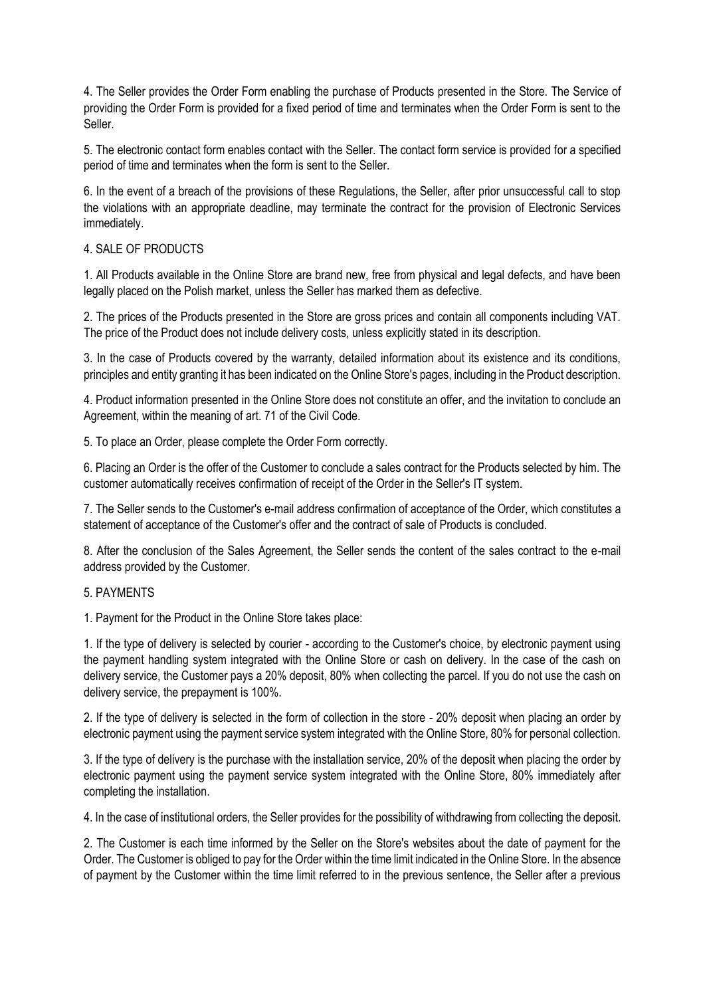4. The Seller provides the Order Form enabling the purchase of Products presented in the Store. The Service of providing the Order Form is provided for a fixed period of time and terminates when the Order Form is sent to the Seller.

5. The electronic contact form enables contact with the Seller. The contact form service is provided for a specified period of time and terminates when the form is sent to the Seller.

6. In the event of a breach of the provisions of these Regulations, the Seller, after prior unsuccessful call to stop the violations with an appropriate deadline, may terminate the contract for the provision of Electronic Services immediately.

# 4. SALE OF PRODUCTS

1. All Products available in the Online Store are brand new, free from physical and legal defects, and have been legally placed on the Polish market, unless the Seller has marked them as defective.

2. The prices of the Products presented in the Store are gross prices and contain all components including VAT. The price of the Product does not include delivery costs, unless explicitly stated in its description.

3. In the case of Products covered by the warranty, detailed information about its existence and its conditions, principles and entity granting it has been indicated on the Online Store's pages, including in the Product description.

4. Product information presented in the Online Store does not constitute an offer, and the invitation to conclude an Agreement, within the meaning of art. 71 of the Civil Code.

5. To place an Order, please complete the Order Form correctly.

6. Placing an Order is the offer of the Customer to conclude a sales contract for the Products selected by him. The customer automatically receives confirmation of receipt of the Order in the Seller's IT system.

7. The Seller sends to the Customer's e-mail address confirmation of acceptance of the Order, which constitutes a statement of acceptance of the Customer's offer and the contract of sale of Products is concluded.

8. After the conclusion of the Sales Agreement, the Seller sends the content of the sales contract to the e-mail address provided by the Customer.

#### 5. PAYMENTS

1. Payment for the Product in the Online Store takes place:

1. If the type of delivery is selected by courier - according to the Customer's choice, by electronic payment using the payment handling system integrated with the Online Store or cash on delivery. In the case of the cash on delivery service, the Customer pays a 20% deposit, 80% when collecting the parcel. If you do not use the cash on delivery service, the prepayment is 100%.

2. If the type of delivery is selected in the form of collection in the store - 20% deposit when placing an order by electronic payment using the payment service system integrated with the Online Store, 80% for personal collection.

3. If the type of delivery is the purchase with the installation service, 20% of the deposit when placing the order by electronic payment using the payment service system integrated with the Online Store, 80% immediately after completing the installation.

4. In the case of institutional orders, the Seller provides for the possibility of withdrawing from collecting the deposit.

2. The Customer is each time informed by the Seller on the Store's websites about the date of payment for the Order. The Customer is obliged to pay for the Order within the time limit indicated in the Online Store. In the absence of payment by the Customer within the time limit referred to in the previous sentence, the Seller after a previous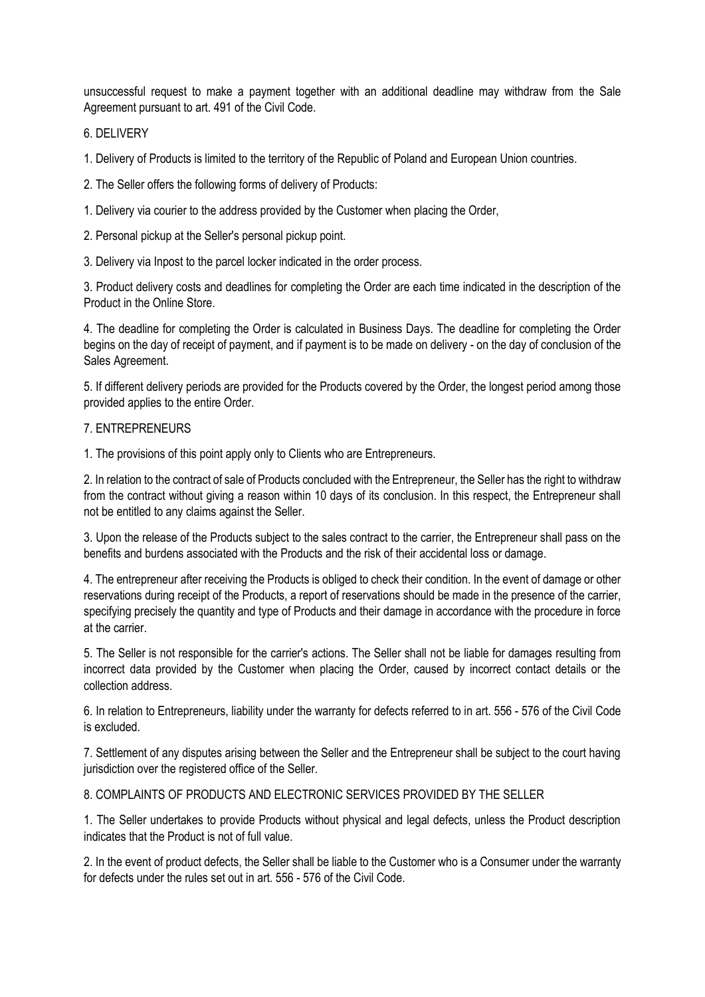unsuccessful request to make a payment together with an additional deadline may withdraw from the Sale Agreement pursuant to art. 491 of the Civil Code.

# 6. DELIVERY

1. Delivery of Products is limited to the territory of the Republic of Poland and European Union countries.

2. The Seller offers the following forms of delivery of Products:

1. Delivery via courier to the address provided by the Customer when placing the Order,

2. Personal pickup at the Seller's personal pickup point.

3. Delivery via Inpost to the parcel locker indicated in the order process.

3. Product delivery costs and deadlines for completing the Order are each time indicated in the description of the Product in the Online Store.

4. The deadline for completing the Order is calculated in Business Days. The deadline for completing the Order begins on the day of receipt of payment, and if payment is to be made on delivery - on the day of conclusion of the Sales Agreement.

5. If different delivery periods are provided for the Products covered by the Order, the longest period among those provided applies to the entire Order.

## 7. ENTREPRENEURS

1. The provisions of this point apply only to Clients who are Entrepreneurs.

2. In relation to the contract of sale of Products concluded with the Entrepreneur, the Seller has the right to withdraw from the contract without giving a reason within 10 days of its conclusion. In this respect, the Entrepreneur shall not be entitled to any claims against the Seller.

3. Upon the release of the Products subject to the sales contract to the carrier, the Entrepreneur shall pass on the benefits and burdens associated with the Products and the risk of their accidental loss or damage.

4. The entrepreneur after receiving the Products is obliged to check their condition. In the event of damage or other reservations during receipt of the Products, a report of reservations should be made in the presence of the carrier, specifying precisely the quantity and type of Products and their damage in accordance with the procedure in force at the carrier.

5. The Seller is not responsible for the carrier's actions. The Seller shall not be liable for damages resulting from incorrect data provided by the Customer when placing the Order, caused by incorrect contact details or the collection address.

6. In relation to Entrepreneurs, liability under the warranty for defects referred to in art. 556 - 576 of the Civil Code is excluded.

7. Settlement of any disputes arising between the Seller and the Entrepreneur shall be subject to the court having jurisdiction over the registered office of the Seller.

8. COMPLAINTS OF PRODUCTS AND ELECTRONIC SERVICES PROVIDED BY THE SELLER

1. The Seller undertakes to provide Products without physical and legal defects, unless the Product description indicates that the Product is not of full value.

2. In the event of product defects, the Seller shall be liable to the Customer who is a Consumer under the warranty for defects under the rules set out in art. 556 - 576 of the Civil Code.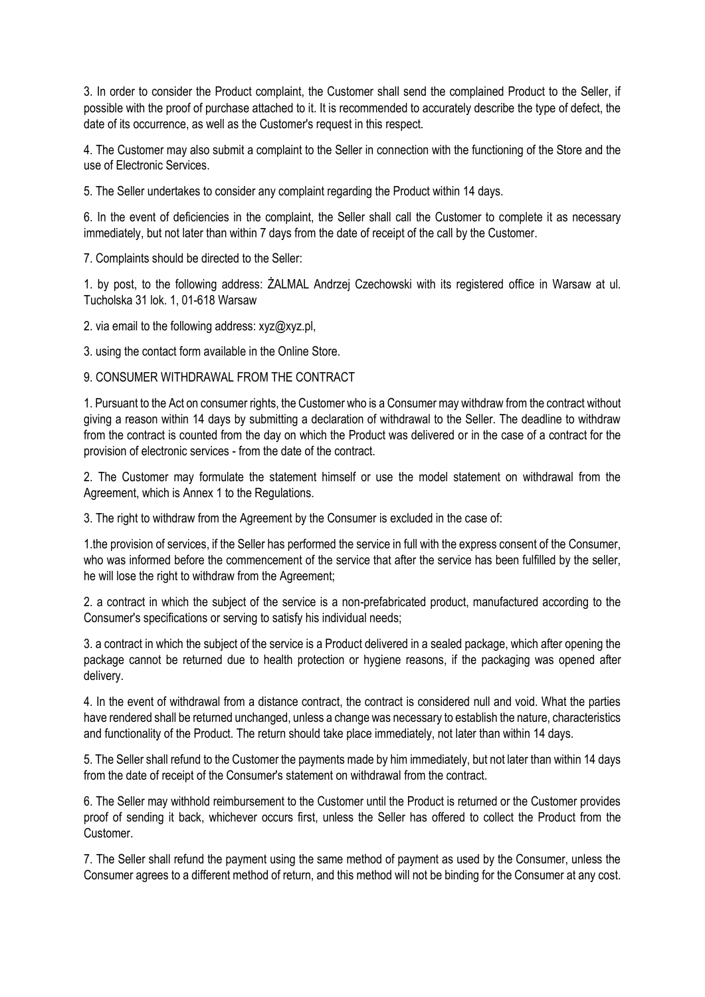3. In order to consider the Product complaint, the Customer shall send the complained Product to the Seller, if possible with the proof of purchase attached to it. It is recommended to accurately describe the type of defect, the date of its occurrence, as well as the Customer's request in this respect.

4. The Customer may also submit a complaint to the Seller in connection with the functioning of the Store and the use of Electronic Services.

5. The Seller undertakes to consider any complaint regarding the Product within 14 days.

6. In the event of deficiencies in the complaint, the Seller shall call the Customer to complete it as necessary immediately, but not later than within 7 days from the date of receipt of the call by the Customer.

7. Complaints should be directed to the Seller:

1. by post, to the following address: ŻALMAL Andrzej Czechowski with its registered office in Warsaw at ul. Tucholska 31 lok. 1, 01-618 Warsaw

2. via email to the following address: xyz@xyz.pl,

3. using the contact form available in the Online Store.

9. CONSUMER WITHDRAWAL FROM THE CONTRACT

1. Pursuant to the Act on consumer rights, the Customer who is a Consumer may withdraw from the contract without giving a reason within 14 days by submitting a declaration of withdrawal to the Seller. The deadline to withdraw from the contract is counted from the day on which the Product was delivered or in the case of a contract for the provision of electronic services - from the date of the contract.

2. The Customer may formulate the statement himself or use the model statement on withdrawal from the Agreement, which is Annex 1 to the Regulations.

3. The right to withdraw from the Agreement by the Consumer is excluded in the case of:

1.the provision of services, if the Seller has performed the service in full with the express consent of the Consumer, who was informed before the commencement of the service that after the service has been fulfilled by the seller, he will lose the right to withdraw from the Agreement;

2. a contract in which the subject of the service is a non-prefabricated product, manufactured according to the Consumer's specifications or serving to satisfy his individual needs;

3. a contract in which the subject of the service is a Product delivered in a sealed package, which after opening the package cannot be returned due to health protection or hygiene reasons, if the packaging was opened after delivery.

4. In the event of withdrawal from a distance contract, the contract is considered null and void. What the parties have rendered shall be returned unchanged, unless a change was necessary to establish the nature, characteristics and functionality of the Product. The return should take place immediately, not later than within 14 days.

5. The Seller shall refund to the Customer the payments made by him immediately, but not later than within 14 days from the date of receipt of the Consumer's statement on withdrawal from the contract.

6. The Seller may withhold reimbursement to the Customer until the Product is returned or the Customer provides proof of sending it back, whichever occurs first, unless the Seller has offered to collect the Product from the Customer.

7. The Seller shall refund the payment using the same method of payment as used by the Consumer, unless the Consumer agrees to a different method of return, and this method will not be binding for the Consumer at any cost.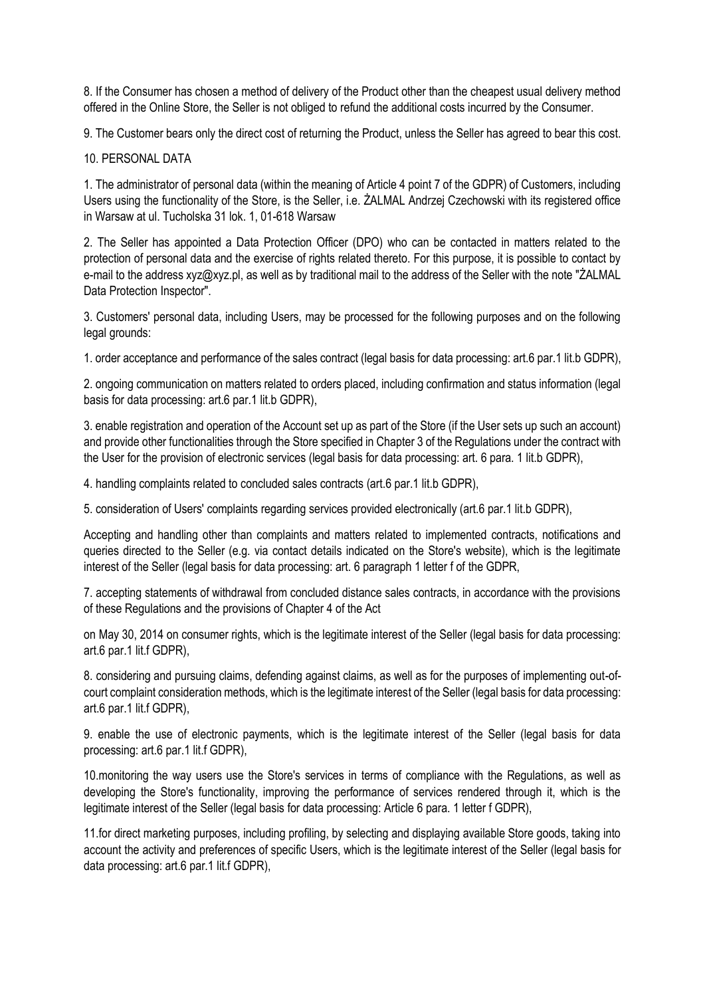8. If the Consumer has chosen a method of delivery of the Product other than the cheapest usual delivery method offered in the Online Store, the Seller is not obliged to refund the additional costs incurred by the Consumer.

9. The Customer bears only the direct cost of returning the Product, unless the Seller has agreed to bear this cost.

## 10. PERSONAL DATA

1. The administrator of personal data (within the meaning of Article 4 point 7 of the GDPR) of Customers, including Users using the functionality of the Store, is the Seller, i.e. ŻALMAL Andrzej Czechowski with its registered office in Warsaw at ul. Tucholska 31 lok. 1, 01-618 Warsaw

2. The Seller has appointed a Data Protection Officer (DPO) who can be contacted in matters related to the protection of personal data and the exercise of rights related thereto. For this purpose, it is possible to contact by e-mail to the address xyz@xyz.pl, as well as by traditional mail to the address of the Seller with the note "ŻALMAL Data Protection Inspector".

3. Customers' personal data, including Users, may be processed for the following purposes and on the following legal grounds:

1. order acceptance and performance of the sales contract (legal basis for data processing: art.6 par.1 lit.b GDPR),

2. ongoing communication on matters related to orders placed, including confirmation and status information (legal basis for data processing: art.6 par.1 lit.b GDPR),

3. enable registration and operation of the Account set up as part of the Store (if the User sets up such an account) and provide other functionalities through the Store specified in Chapter 3 of the Regulations under the contract with the User for the provision of electronic services (legal basis for data processing: art. 6 para. 1 lit.b GDPR),

4. handling complaints related to concluded sales contracts (art.6 par.1 lit.b GDPR),

5. consideration of Users' complaints regarding services provided electronically (art.6 par.1 lit.b GDPR),

Accepting and handling other than complaints and matters related to implemented contracts, notifications and queries directed to the Seller (e.g. via contact details indicated on the Store's website), which is the legitimate interest of the Seller (legal basis for data processing: art. 6 paragraph 1 letter f of the GDPR,

7. accepting statements of withdrawal from concluded distance sales contracts, in accordance with the provisions of these Regulations and the provisions of Chapter 4 of the Act

on May 30, 2014 on consumer rights, which is the legitimate interest of the Seller (legal basis for data processing: art.6 par.1 lit.f GDPR),

8. considering and pursuing claims, defending against claims, as well as for the purposes of implementing out-ofcourt complaint consideration methods, which is the legitimate interest of the Seller (legal basis for data processing: art.6 par.1 lit.f GDPR),

9. enable the use of electronic payments, which is the legitimate interest of the Seller (legal basis for data processing: art.6 par.1 lit.f GDPR),

10.monitoring the way users use the Store's services in terms of compliance with the Regulations, as well as developing the Store's functionality, improving the performance of services rendered through it, which is the legitimate interest of the Seller (legal basis for data processing: Article 6 para. 1 letter f GDPR),

11.for direct marketing purposes, including profiling, by selecting and displaying available Store goods, taking into account the activity and preferences of specific Users, which is the legitimate interest of the Seller (legal basis for data processing: art.6 par.1 lit.f GDPR),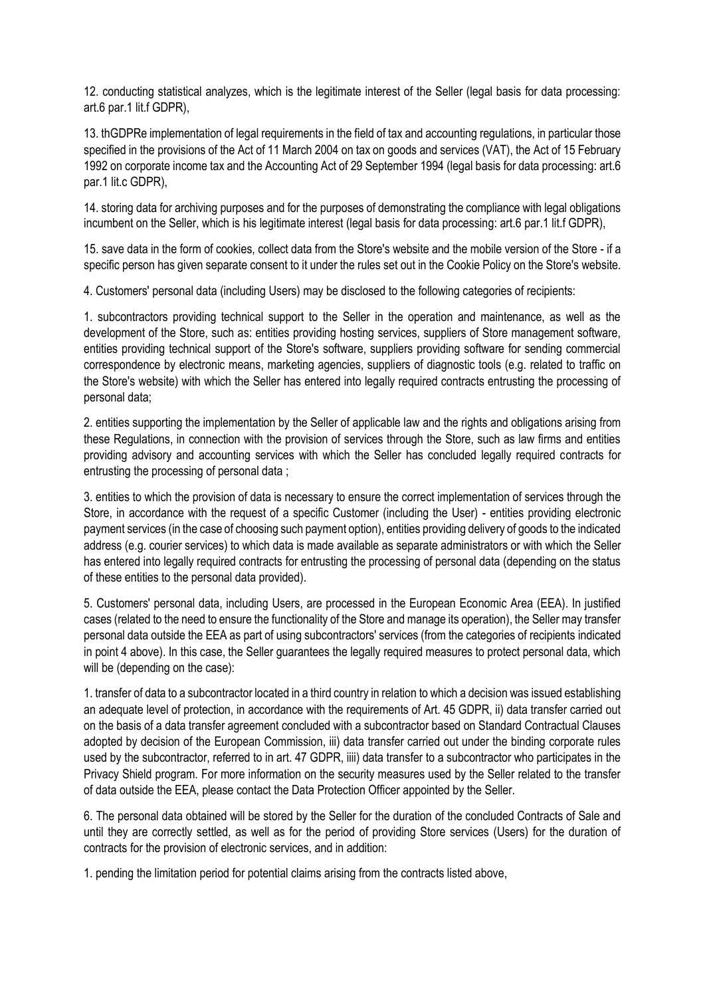12. conducting statistical analyzes, which is the legitimate interest of the Seller (legal basis for data processing: art.6 par.1 lit.f GDPR),

13. thGDPRe implementation of legal requirements in the field of tax and accounting regulations, in particular those specified in the provisions of the Act of 11 March 2004 on tax on goods and services (VAT), the Act of 15 February 1992 on corporate income tax and the Accounting Act of 29 September 1994 (legal basis for data processing: art.6 par.1 lit.c GDPR),

14. storing data for archiving purposes and for the purposes of demonstrating the compliance with legal obligations incumbent on the Seller, which is his legitimate interest (legal basis for data processing: art.6 par.1 lit.f GDPR),

15. save data in the form of cookies, collect data from the Store's website and the mobile version of the Store - if a specific person has given separate consent to it under the rules set out in the Cookie Policy on the Store's website.

4. Customers' personal data (including Users) may be disclosed to the following categories of recipients:

1. subcontractors providing technical support to the Seller in the operation and maintenance, as well as the development of the Store, such as: entities providing hosting services, suppliers of Store management software, entities providing technical support of the Store's software, suppliers providing software for sending commercial correspondence by electronic means, marketing agencies, suppliers of diagnostic tools (e.g. related to traffic on the Store's website) with which the Seller has entered into legally required contracts entrusting the processing of personal data;

2. entities supporting the implementation by the Seller of applicable law and the rights and obligations arising from these Regulations, in connection with the provision of services through the Store, such as law firms and entities providing advisory and accounting services with which the Seller has concluded legally required contracts for entrusting the processing of personal data ;

3. entities to which the provision of data is necessary to ensure the correct implementation of services through the Store, in accordance with the request of a specific Customer (including the User) - entities providing electronic payment services (in the case of choosing such payment option), entities providing delivery of goods to the indicated address (e.g. courier services) to which data is made available as separate administrators or with which the Seller has entered into legally required contracts for entrusting the processing of personal data (depending on the status of these entities to the personal data provided).

5. Customers' personal data, including Users, are processed in the European Economic Area (EEA). In justified cases (related to the need to ensure the functionality of the Store and manage its operation), the Seller may transfer personal data outside the EEA as part of using subcontractors' services (from the categories of recipients indicated in point 4 above). In this case, the Seller guarantees the legally required measures to protect personal data, which will be (depending on the case):

1. transfer of data to a subcontractor located in a third country in relation to which a decision was issued establishing an adequate level of protection, in accordance with the requirements of Art. 45 GDPR, ii) data transfer carried out on the basis of a data transfer agreement concluded with a subcontractor based on Standard Contractual Clauses adopted by decision of the European Commission, iii) data transfer carried out under the binding corporate rules used by the subcontractor, referred to in art. 47 GDPR, iiii) data transfer to a subcontractor who participates in the Privacy Shield program. For more information on the security measures used by the Seller related to the transfer of data outside the EEA, please contact the Data Protection Officer appointed by the Seller.

6. The personal data obtained will be stored by the Seller for the duration of the concluded Contracts of Sale and until they are correctly settled, as well as for the period of providing Store services (Users) for the duration of contracts for the provision of electronic services, and in addition:

1. pending the limitation period for potential claims arising from the contracts listed above,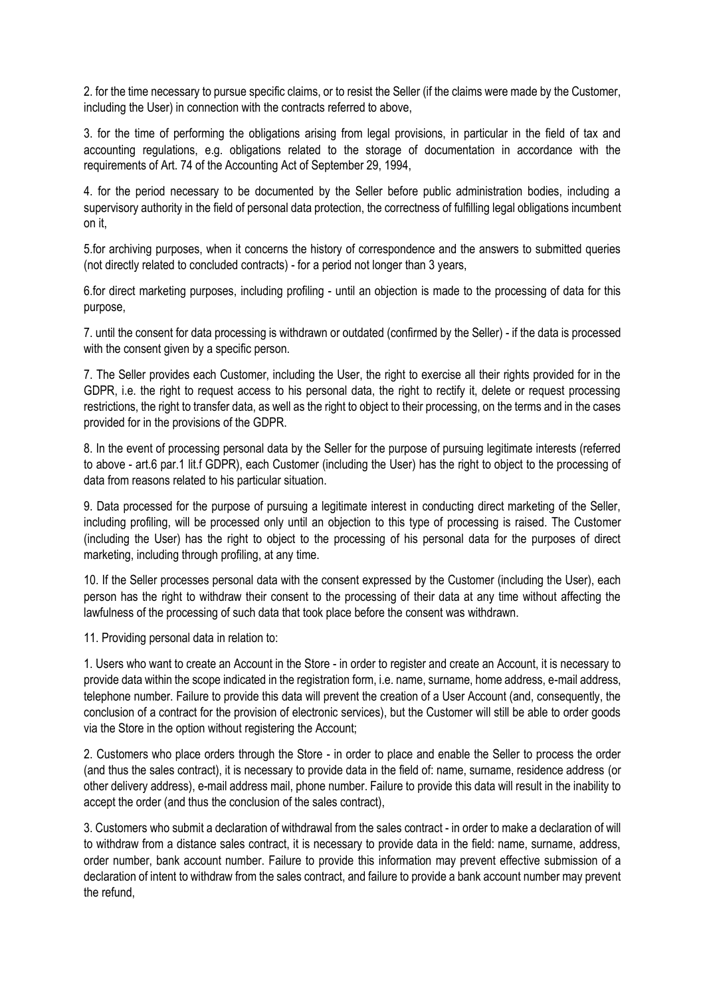2. for the time necessary to pursue specific claims, or to resist the Seller (if the claims were made by the Customer, including the User) in connection with the contracts referred to above,

3. for the time of performing the obligations arising from legal provisions, in particular in the field of tax and accounting regulations, e.g. obligations related to the storage of documentation in accordance with the requirements of Art. 74 of the Accounting Act of September 29, 1994,

4. for the period necessary to be documented by the Seller before public administration bodies, including a supervisory authority in the field of personal data protection, the correctness of fulfilling legal obligations incumbent on it,

5.for archiving purposes, when it concerns the history of correspondence and the answers to submitted queries (not directly related to concluded contracts) - for a period not longer than 3 years,

6.for direct marketing purposes, including profiling - until an objection is made to the processing of data for this purpose,

7. until the consent for data processing is withdrawn or outdated (confirmed by the Seller) - if the data is processed with the consent given by a specific person.

7. The Seller provides each Customer, including the User, the right to exercise all their rights provided for in the GDPR, i.e. the right to request access to his personal data, the right to rectify it, delete or request processing restrictions, the right to transfer data, as well as the right to object to their processing, on the terms and in the cases provided for in the provisions of the GDPR.

8. In the event of processing personal data by the Seller for the purpose of pursuing legitimate interests (referred to above - art.6 par.1 lit.f GDPR), each Customer (including the User) has the right to object to the processing of data from reasons related to his particular situation.

9. Data processed for the purpose of pursuing a legitimate interest in conducting direct marketing of the Seller, including profiling, will be processed only until an objection to this type of processing is raised. The Customer (including the User) has the right to object to the processing of his personal data for the purposes of direct marketing, including through profiling, at any time.

10. If the Seller processes personal data with the consent expressed by the Customer (including the User), each person has the right to withdraw their consent to the processing of their data at any time without affecting the lawfulness of the processing of such data that took place before the consent was withdrawn.

11. Providing personal data in relation to:

1. Users who want to create an Account in the Store - in order to register and create an Account, it is necessary to provide data within the scope indicated in the registration form, i.e. name, surname, home address, e-mail address, telephone number. Failure to provide this data will prevent the creation of a User Account (and, consequently, the conclusion of a contract for the provision of electronic services), but the Customer will still be able to order goods via the Store in the option without registering the Account;

2. Customers who place orders through the Store - in order to place and enable the Seller to process the order (and thus the sales contract), it is necessary to provide data in the field of: name, surname, residence address (or other delivery address), e-mail address mail, phone number. Failure to provide this data will result in the inability to accept the order (and thus the conclusion of the sales contract),

3. Customers who submit a declaration of withdrawal from the sales contract - in order to make a declaration of will to withdraw from a distance sales contract, it is necessary to provide data in the field: name, surname, address, order number, bank account number. Failure to provide this information may prevent effective submission of a declaration of intent to withdraw from the sales contract, and failure to provide a bank account number may prevent the refund,